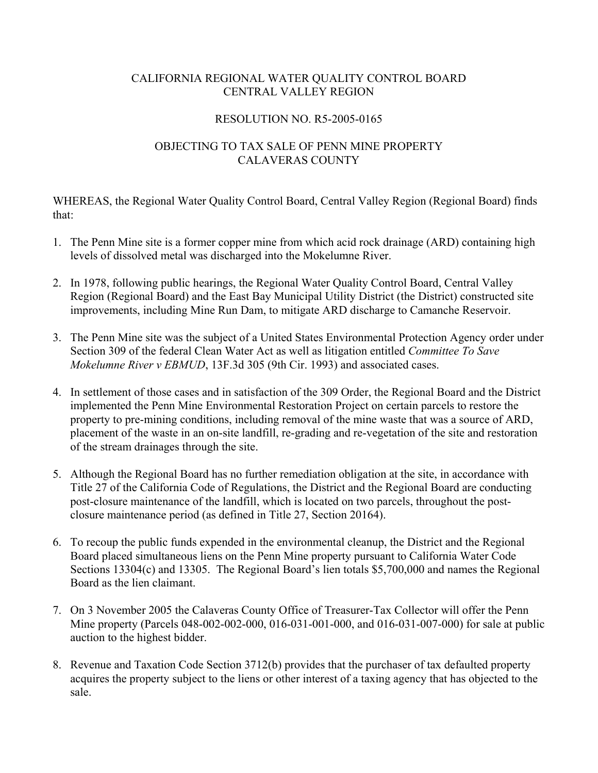## CALIFORNIA REGIONAL WATER QUALITY CONTROL BOARD CENTRAL VALLEY REGION

## RESOLUTION NO. R5-2005-0165

## OBJECTING TO TAX SALE OF PENN MINE PROPERTY CALAVERAS COUNTY

WHEREAS, the Regional Water Quality Control Board, Central Valley Region (Regional Board) finds that:

- 1. The Penn Mine site is a former copper mine from which acid rock drainage (ARD) containing high levels of dissolved metal was discharged into the Mokelumne River.
- 2. In 1978, following public hearings, the Regional Water Quality Control Board, Central Valley Region (Regional Board) and the East Bay Municipal Utility District (the District) constructed site improvements, including Mine Run Dam, to mitigate ARD discharge to Camanche Reservoir.
- 3. The Penn Mine site was the subject of a United States Environmental Protection Agency order under Section 309 of the federal Clean Water Act as well as litigation entitled *Committee To Save Mokelumne River v EBMUD*, 13F.3d 305 (9th Cir. 1993) and associated cases.
- 4. In settlement of those cases and in satisfaction of the 309 Order, the Regional Board and the District implemented the Penn Mine Environmental Restoration Project on certain parcels to restore the property to pre-mining conditions, including removal of the mine waste that was a source of ARD, placement of the waste in an on-site landfill, re-grading and re-vegetation of the site and restoration of the stream drainages through the site.
- 5. Although the Regional Board has no further remediation obligation at the site, in accordance with Title 27 of the California Code of Regulations, the District and the Regional Board are conducting post-closure maintenance of the landfill, which is located on two parcels, throughout the postclosure maintenance period (as defined in Title 27, Section 20164).
- 6. To recoup the public funds expended in the environmental cleanup, the District and the Regional Board placed simultaneous liens on the Penn Mine property pursuant to California Water Code Sections 13304(c) and 13305. The Regional Board's lien totals \$5,700,000 and names the Regional Board as the lien claimant.
- 7. On 3 November 2005 the Calaveras County Office of Treasurer-Tax Collector will offer the Penn Mine property (Parcels 048-002-002-000, 016-031-001-000, and 016-031-007-000) for sale at public auction to the highest bidder.
- 8. Revenue and Taxation Code Section 3712(b) provides that the purchaser of tax defaulted property acquires the property subject to the liens or other interest of a taxing agency that has objected to the sale.